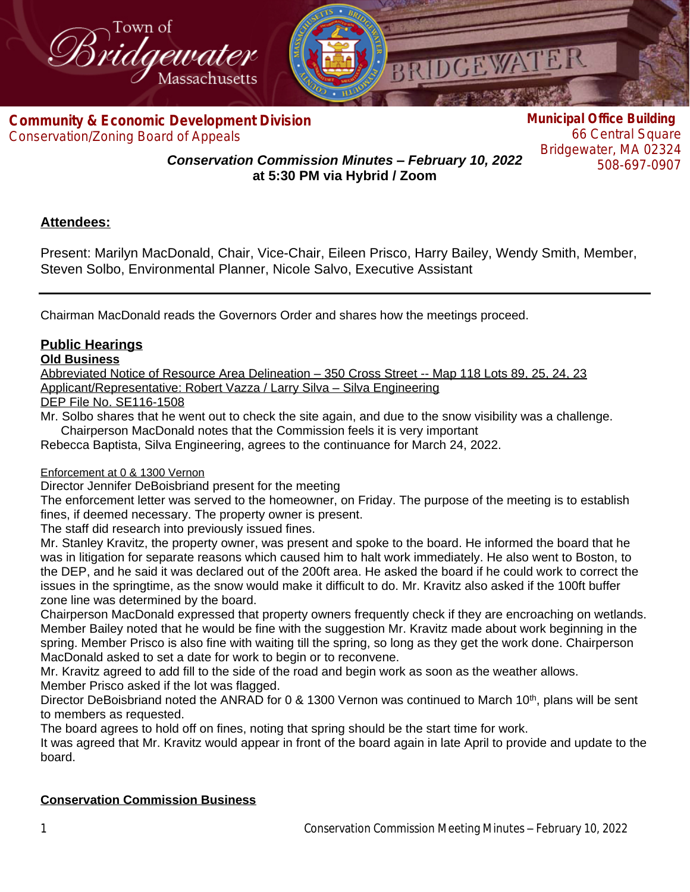

**Com[munity & Economic Development Division](http://www.bridgewaterma.org/)** Conservation/Zoning Board of Appeals

**Municipal Office Building** 66 Central Square Bridgewater, MA 02324 508-697-0907

*Conservation Commission Minutes – February 10, 2022* **at 5:30 PM via Hybrid / Zoom**

# **Attendees:**

Present: Marilyn MacDonald, Chair, Vice-Chair, Eileen Prisco, Harry Bailey, Wendy Smith, Member, Steven Solbo, Environmental Planner, Nicole Salvo, Executive Assistant

Chairman MacDonald reads the Governors Order and shares how the meetings proceed.

# **Public Hearings**

#### **Old Business**

Abbreviated Notice of Resource Area Delineation – 350 Cross Street -- Map 118 Lots 89, 25, 24, 23 Applicant/Representative: Robert Vazza / Larry Silva – Silva Engineering

DEP File No. SE116-1508

Mr. Solbo shares that he went out to check the site again, and due to the snow visibility was a challenge. Chairperson MacDonald notes that the Commission feels it is very important

Rebecca Baptista, Silva Engineering, agrees to the continuance for March 24, 2022.

## Enforcement at 0 & 1300 Vernon

Director Jennifer DeBoisbriand present for the meeting

The enforcement letter was served to the homeowner, on Friday. The purpose of the meeting is to establish fines, if deemed necessary. The property owner is present.

The staff did research into previously issued fines.

Mr. Stanley Kravitz, the property owner, was present and spoke to the board. He informed the board that he was in litigation for separate reasons which caused him to halt work immediately. He also went to Boston, to the DEP, and he said it was declared out of the 200ft area. He asked the board if he could work to correct the issues in the springtime, as the snow would make it difficult to do. Mr. Kravitz also asked if the 100ft buffer zone line was determined by the board.

Chairperson MacDonald expressed that property owners frequently check if they are encroaching on wetlands. Member Bailey noted that he would be fine with the suggestion Mr. Kravitz made about work beginning in the spring. Member Prisco is also fine with waiting till the spring, so long as they get the work done. Chairperson MacDonald asked to set a date for work to begin or to reconvene.

Mr. Kravitz agreed to add fill to the side of the road and begin work as soon as the weather allows. Member Prisco asked if the lot was flagged.

Director DeBoisbriand noted the ANRAD for 0 & 1300 Vernon was continued to March 10<sup>th</sup>, plans will be sent to members as requested.

The board agrees to hold off on fines, noting that spring should be the start time for work.

It was agreed that Mr. Kravitz would appear in front of the board again in late April to provide and update to the board.

## **Conservation Commission Business**